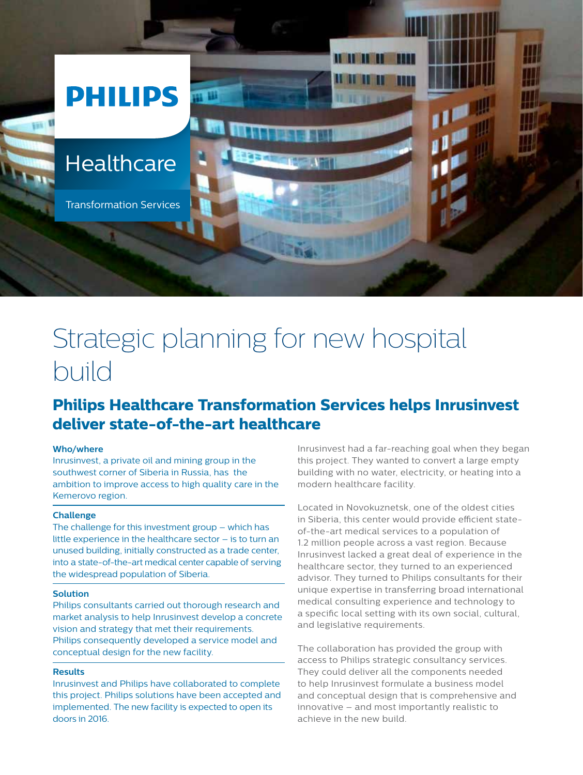

# Strategic planning for new hospital build

# **Philips Healthcare Transformation Services helps Inrusinvest deliver state-of-the-art healthcare**

# **Who/where**

Inrusinvest, a private oil and mining group in the southwest corner of Siberia in Russia, has the ambition to improve access to high quality care in the Kemerovo region.

# **Challenge**

The challenge for this investment group – which has little experience in the healthcare sector – is to turn an unused building, initially constructed as a trade center, into a state-of-the-art medical center capable of serving the widespread population of Siberia.

#### **Solution**

Philips consultants carried out thorough research and market analysis to help Inrusinvest develop a concrete vision and strategy that met their requirements. Philips consequently developed a service model and conceptual design for the new facility.

# **Results**

Inrusinvest and Philips have collaborated to complete this project. Philips solutions have been accepted and implemented. The new facility is expected to open its doors in 2016.

Inrusinvest had a far-reaching goal when they began this project. They wanted to convert a large empty building with no water, electricity, or heating into a modern healthcare facility.

Located in Novokuznetsk, one of the oldest cities in Siberia, this center would provide efficient stateof-the-art medical services to a population of 1.2 million people across a vast region. Because Inrusinvest lacked a great deal of experience in the healthcare sector, they turned to an experienced advisor. They turned to Philips consultants for their unique expertise in transferring broad international medical consulting experience and technology to a specific local setting with its own social, cultural, and legislative requirements.

The collaboration has provided the group with access to Philips strategic consultancy services. They could deliver all the components needed to help Inrusinvest formulate a business model and conceptual design that is comprehensive and innovative – and most importantly realistic to achieve in the new build.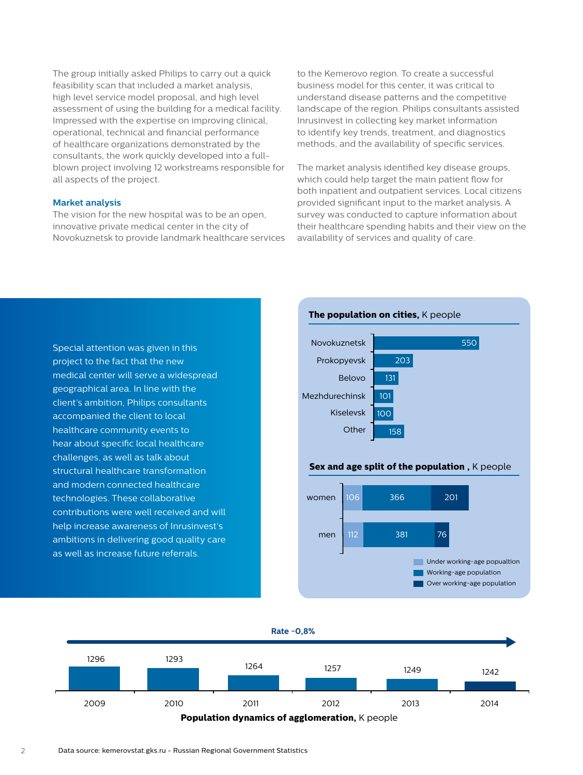The group initially asked Philips to carry out a quick feasibility scan that included a market analysis, high level service model proposal, and high level assessment of using the building for a medical facility. Impressed with the expertise on improving clinical, operational, technical and financial performance of healthcare organizations demonstrated by the consultants, the work quickly developed into a fullblown project involving 12 workstreams responsible for all aspects of the project.

#### **Market analysis**

The vision for the new hospital was to be an open, innovative private medical center in the city of Novokuznetsk to provide landmark healthcare services

to the Kemerovo region. To create a successful business model for this center, it was critical to understand disease patterns and the competitive landscape of the region. Philips consultants assisted Inrusinvest in collecting key market information to identify key trends, treatment, and diagnostics methods, and the availability of specific services.

The market analysis identified key disease groups, which could help target the main patient flow for both inpatient and outpatient services. Local citizens provided significant input to the market analysis. A survey was conducted to capture information about their healthcare spending habits and their view on the availability of services and quality of care.

Special attention was given in this project to the fact that the new medical center will serve a widespread geographical area. In line with the client's ambition, Philips consultants accompanied the client to local healthcare community events to hear about specific local healthcare challenges, as well as talk about structural healthcare transformation and modern connected healthcare technologies. These collaborative contributions were well received and will help increase awareness of Inrusinvest's ambitions in delivering good quality care as well as increase future referrals.



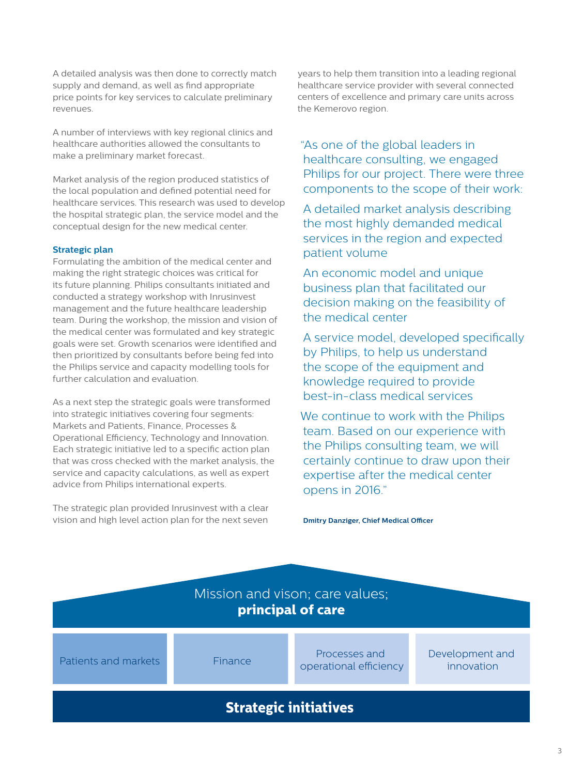A detailed analysis was then done to correctly match supply and demand, as well as find appropriate price points for key services to calculate preliminary revenues.

A number of interviews with key regional clinics and healthcare authorities allowed the consultants to make a preliminary market forecast.

Market analysis of the region produced statistics of the local population and defined potential need for healthcare services. This research was used to develop the hospital strategic plan, the service model and the conceptual design for the new medical center.

# **Strategic plan**

Formulating the ambition of the medical center and making the right strategic choices was critical for its future planning. Philips consultants initiated and conducted a strategy workshop with Inrusinvest management and the future healthcare leadership team. During the workshop, the mission and vision of the medical center was formulated and key strategic goals were set. Growth scenarios were identified and then prioritized by consultants before being fed into the Philips service and capacity modelling tools for further calculation and evaluation.

As a next step the strategic goals were transformed into strategic initiatives covering four segments: Markets and Patients, Finance, Processes & Operational Efficiency, Technology and Innovation. Each strategic initiative led to a specific action plan that was cross checked with the market analysis, the service and capacity calculations, as well as expert advice from Philips international experts.

The strategic plan provided Inrusinvest with a clear vision and high level action plan for the next seven years to help them transition into a leading regional healthcare service provider with several connected centers of excellence and primary care units across the Kemerovo region.

"As one of the global leaders in healthcare consulting, we engaged Philips for our project. There were three components to the scope of their work:

A detailed market analysis describing the most highly demanded medical services in the region and expected patient volume

An economic model and unique business plan that facilitated our decision making on the feasibility of the medical center

A service model, developed specifically by Philips, to help us understand the scope of the equipment and knowledge required to provide best-in-class medical services

We continue to work with the Philips team. Based on our experience with the Philips consulting team, we will certainly continue to draw upon their expertise after the medical center opens in 2016."

**Dmitry Danziger, Chief Medical Officer**